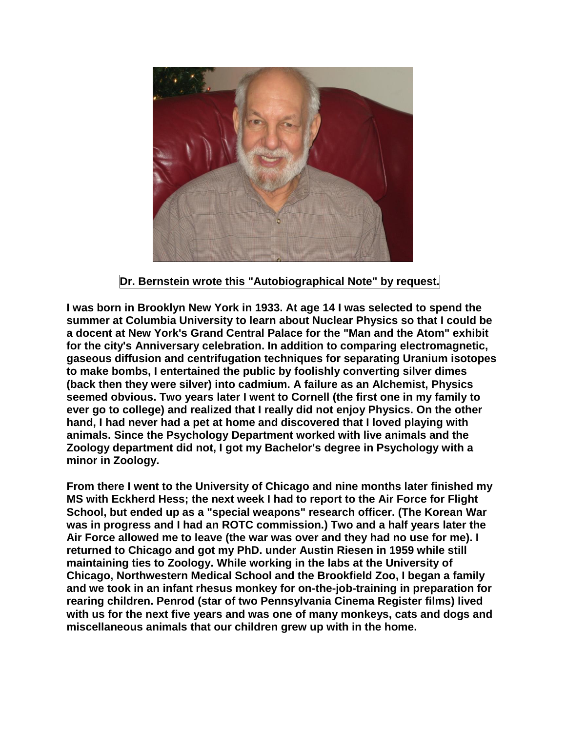

**Dr. Bernstein wrote this "Autobiographical Note" by request.** 

**I was born in Brooklyn New York in 1933. At age 14 I was selected to spend the summer at Columbia University to learn about Nuclear Physics so that I could be a docent at New York's Grand Central Palace for the "Man and the Atom" exhibit for the city's Anniversary celebration. In addition to comparing electromagnetic, gaseous diffusion and centrifugation techniques for separating Uranium isotopes to make bombs, I entertained the public by foolishly converting silver dimes (back then they were silver) into cadmium. A failure as an Alchemist, Physics seemed obvious. Two years later I went to Cornell (the first one in my family to ever go to college) and realized that I really did not enjoy Physics. On the other hand, I had never had a pet at home and discovered that I loved playing with animals. Since the Psychology Department worked with live animals and the Zoology department did not, I got my Bachelor's degree in Psychology with a minor in Zoology.**

**From there I went to the University of Chicago and nine months later finished my MS with Eckherd Hess; the next week I had to report to the Air Force for Flight School, but ended up as a "special weapons" research officer. (The Korean War was in progress and I had an ROTC commission.) Two and a half years later the Air Force allowed me to leave (the war was over and they had no use for me). I returned to Chicago and got my PhD. under Austin Riesen in 1959 while still maintaining ties to Zoology. While working in the labs at the University of Chicago, Northwestern Medical School and the Brookfield Zoo, I began a family and we took in an infant rhesus monkey for on-the-job-training in preparation for rearing children. Penrod (star of two Pennsylvania Cinema Register films) lived with us for the next five years and was one of many monkeys, cats and dogs and miscellaneous animals that our children grew up with in the home.**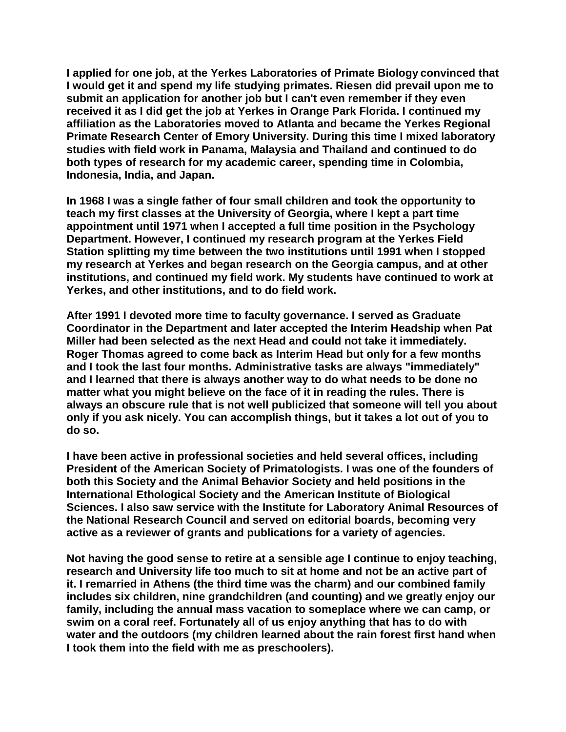**I applied for one job, at the Yerkes Laboratories of Primate Biology convinced that I would get it and spend my life studying primates. Riesen did prevail upon me to submit an application for another job but I can't even remember if they even received it as I did get the job at Yerkes in Orange Park Florida. I continued my affiliation as the Laboratories moved to Atlanta and became the Yerkes Regional Primate Research Center of Emory University. During this time I mixed laboratory studies with field work in Panama, Malaysia and Thailand and continued to do both types of research for my academic career, spending time in Colombia, Indonesia, India, and Japan.**

**In 1968 I was a single father of four small children and took the opportunity to teach my first classes at the University of Georgia, where I kept a part time appointment until 1971 when I accepted a full time position in the Psychology Department. However, I continued my research program at the Yerkes Field Station splitting my time between the two institutions until 1991 when I stopped my research at Yerkes and began research on the Georgia campus, and at other institutions, and continued my field work. My students have continued to work at Yerkes, and other institutions, and to do field work.**

**After 1991 I devoted more time to faculty governance. I served as Graduate Coordinator in the Department and later accepted the Interim Headship when Pat Miller had been selected as the next Head and could not take it immediately. Roger Thomas agreed to come back as Interim Head but only for a few months and I took the last four months. Administrative tasks are always "immediately" and I learned that there is always another way to do what needs to be done no matter what you might believe on the face of it in reading the rules. There is always an obscure rule that is not well publicized that someone will tell you about only if you ask nicely. You can accomplish things, but it takes a lot out of you to do so.**

**I have been active in professional societies and held several offices, including President of the American Society of Primatologists. I was one of the founders of both this Society and the Animal Behavior Society and held positions in the International Ethological Society and the American Institute of Biological Sciences. I also saw service with the Institute for Laboratory Animal Resources of the National Research Council and served on editorial boards, becoming very active as a reviewer of grants and publications for a variety of agencies.**

**Not having the good sense to retire at a sensible age I continue to enjoy teaching, research and University life too much to sit at home and not be an active part of it. I remarried in Athens (the third time was the charm) and our combined family includes six children, nine grandchildren (and counting) and we greatly enjoy our family, including the annual mass vacation to someplace where we can camp, or swim on a coral reef. Fortunately all of us enjoy anything that has to do with water and the outdoors (my children learned about the rain forest first hand when I took them into the field with me as preschoolers).**